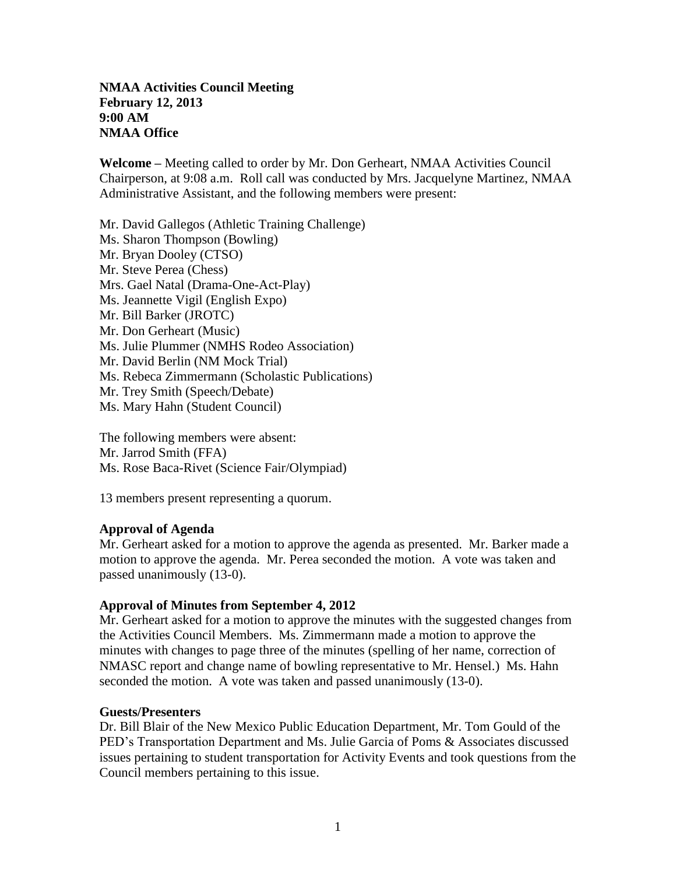**NMAA Activities Council Meeting February 12, 2013 9:00 AM NMAA Office**

**Welcome** *–* Meeting called to order by Mr. Don Gerheart, NMAA Activities Council Chairperson, at 9:08 a.m. Roll call was conducted by Mrs. Jacquelyne Martinez, NMAA Administrative Assistant, and the following members were present:

Mr. David Gallegos (Athletic Training Challenge) Ms. Sharon Thompson (Bowling) Mr. Bryan Dooley (CTSO) Mr. Steve Perea (Chess) Mrs. Gael Natal (Drama-One-Act-Play) Ms. Jeannette Vigil (English Expo) Mr. Bill Barker (JROTC) Mr. Don Gerheart (Music) Ms. Julie Plummer (NMHS Rodeo Association) Mr. David Berlin (NM Mock Trial) Ms. Rebeca Zimmermann (Scholastic Publications) Mr. Trey Smith (Speech/Debate) Ms. Mary Hahn (Student Council)

The following members were absent: Mr. Jarrod Smith (FFA) Ms. Rose Baca-Rivet (Science Fair/Olympiad)

13 members present representing a quorum.

### **Approval of Agenda**

Mr. Gerheart asked for a motion to approve the agenda as presented. Mr. Barker made a motion to approve the agenda. Mr. Perea seconded the motion. A vote was taken and passed unanimously (13-0).

### **Approval of Minutes from September 4, 2012**

Mr. Gerheart asked for a motion to approve the minutes with the suggested changes from the Activities Council Members. Ms. Zimmermann made a motion to approve the minutes with changes to page three of the minutes (spelling of her name, correction of NMASC report and change name of bowling representative to Mr. Hensel.) Ms. Hahn seconded the motion. A vote was taken and passed unanimously (13-0).

### **Guests/Presenters**

Dr. Bill Blair of the New Mexico Public Education Department, Mr. Tom Gould of the PED's Transportation Department and Ms. Julie Garcia of Poms & Associates discussed issues pertaining to student transportation for Activity Events and took questions from the Council members pertaining to this issue.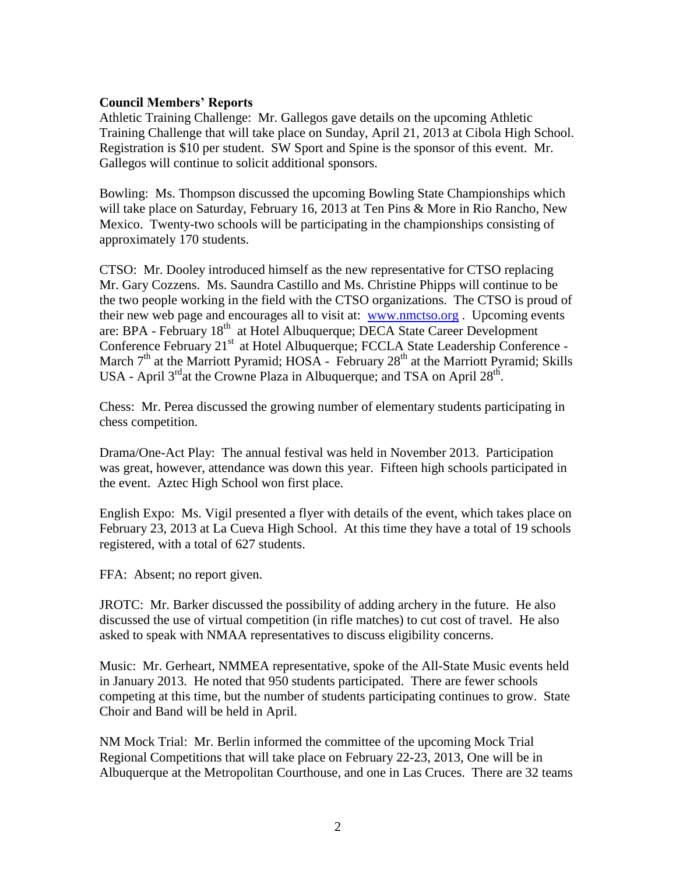# **Council Members' Reports**

Athletic Training Challenge: Mr. Gallegos gave details on the upcoming Athletic Training Challenge that will take place on Sunday, April 21, 2013 at Cibola High School. Registration is \$10 per student. SW Sport and Spine is the sponsor of this event. Mr. Gallegos will continue to solicit additional sponsors.

Bowling: Ms. Thompson discussed the upcoming Bowling State Championships which will take place on Saturday, February 16, 2013 at Ten Pins & More in Rio Rancho, New Mexico. Twenty-two schools will be participating in the championships consisting of approximately 170 students.

CTSO: Mr. Dooley introduced himself as the new representative for CTSO replacing Mr. Gary Cozzens. Ms. Saundra Castillo and Ms. Christine Phipps will continue to be the two people working in the field with the CTSO organizations. The CTSO is proud of their new web page and encourages all to visit at: [www.nmctso.org](http://www.nmctso.org/) . Upcoming events are: BPA - February 18<sup>th</sup> at Hotel Albuquerque; DECA State Career Development Conference February 21<sup>st</sup> at Hotel Albuquerque; FCCLA State Leadership Conference -March  $7<sup>th</sup>$  at the Marriott Pyramid; HOSA - February  $28<sup>th</sup>$  at the Marriott Pyramid; Skills USA - April  $3^{rd}$ at the Crowne Plaza in Albuquerque; and TSA on April  $28^{th}$ .

Chess: Mr. Perea discussed the growing number of elementary students participating in chess competition.

Drama/One-Act Play: The annual festival was held in November 2013. Participation was great, however, attendance was down this year. Fifteen high schools participated in the event. Aztec High School won first place.

English Expo: Ms. Vigil presented a flyer with details of the event, which takes place on February 23, 2013 at La Cueva High School. At this time they have a total of 19 schools registered, with a total of 627 students.

FFA: Absent; no report given.

JROTC: Mr. Barker discussed the possibility of adding archery in the future. He also discussed the use of virtual competition (in rifle matches) to cut cost of travel. He also asked to speak with NMAA representatives to discuss eligibility concerns.

Music: Mr. Gerheart, NMMEA representative, spoke of the All-State Music events held in January 2013. He noted that 950 students participated. There are fewer schools competing at this time, but the number of students participating continues to grow. State Choir and Band will be held in April.

NM Mock Trial: Mr. Berlin informed the committee of the upcoming Mock Trial Regional Competitions that will take place on February 22-23, 2013, One will be in Albuquerque at the Metropolitan Courthouse, and one in Las Cruces. There are 32 teams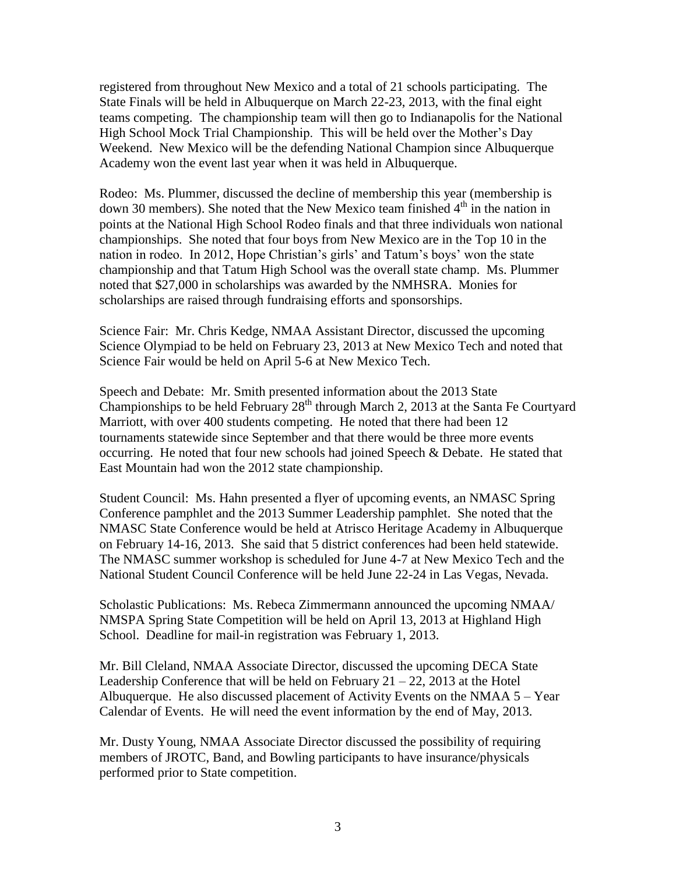registered from throughout New Mexico and a total of 21 schools participating. The State Finals will be held in Albuquerque on March 22-23, 2013, with the final eight teams competing. The championship team will then go to Indianapolis for the National High School Mock Trial Championship. This will be held over the Mother's Day Weekend. New Mexico will be the defending National Champion since Albuquerque Academy won the event last year when it was held in Albuquerque.

Rodeo: Ms. Plummer, discussed the decline of membership this year (membership is down 30 members). She noted that the New Mexico team finished  $4<sup>th</sup>$  in the nation in points at the National High School Rodeo finals and that three individuals won national championships. She noted that four boys from New Mexico are in the Top 10 in the nation in rodeo. In 2012, Hope Christian's girls' and Tatum's boys' won the state championship and that Tatum High School was the overall state champ. Ms. Plummer noted that \$27,000 in scholarships was awarded by the NMHSRA. Monies for scholarships are raised through fundraising efforts and sponsorships.

Science Fair: Mr. Chris Kedge, NMAA Assistant Director, discussed the upcoming Science Olympiad to be held on February 23, 2013 at New Mexico Tech and noted that Science Fair would be held on April 5-6 at New Mexico Tech.

Speech and Debate: Mr. Smith presented information about the 2013 State Championships to be held February  $28<sup>th</sup>$  through March 2, 2013 at the Santa Fe Courtyard Marriott, with over 400 students competing. He noted that there had been 12 tournaments statewide since September and that there would be three more events occurring. He noted that four new schools had joined Speech & Debate. He stated that East Mountain had won the 2012 state championship.

Student Council: Ms. Hahn presented a flyer of upcoming events, an NMASC Spring Conference pamphlet and the 2013 Summer Leadership pamphlet. She noted that the NMASC State Conference would be held at Atrisco Heritage Academy in Albuquerque on February 14-16, 2013. She said that 5 district conferences had been held statewide. The NMASC summer workshop is scheduled for June 4-7 at New Mexico Tech and the National Student Council Conference will be held June 22-24 in Las Vegas, Nevada.

Scholastic Publications: Ms. Rebeca Zimmermann announced the upcoming NMAA/ NMSPA Spring State Competition will be held on April 13, 2013 at Highland High School. Deadline for mail-in registration was February 1, 2013.

Mr. Bill Cleland, NMAA Associate Director, discussed the upcoming DECA State Leadership Conference that will be held on February  $21 - 22$ , 2013 at the Hotel Albuquerque. He also discussed placement of Activity Events on the NMAA 5 – Year Calendar of Events. He will need the event information by the end of May, 2013.

Mr. Dusty Young, NMAA Associate Director discussed the possibility of requiring members of JROTC, Band, and Bowling participants to have insurance/physicals performed prior to State competition.